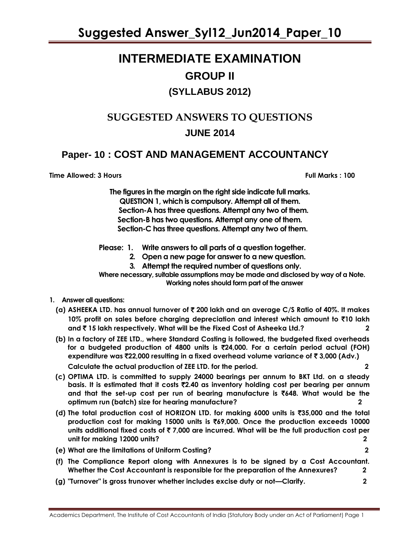### **INTERMEDIATE EXAMINATION GROUP II (SYLLABUS 2012)**

# **SUGGESTED ANSWERS TO QUESTIONS**

### **JUNE 2014**

### **Paper- 10 : COST AND MANAGEMENT ACCOUNTANCY**

**Time Allowed: 3 Hours Full Marks : 100**

**The figures in the margin on the right side indicate full marks. QUESTION 1, which is compulsory. Attempt all of them. Section-A has three questions. Attempt any two of them. Section-B has two questions. Attempt any one of them. Section-C has three questions. Attempt any two of them.**

**Please: 1. Write answers to all parts of a question together.**

- **2. Open a new page for answer to a new question.**
- **3. Attempt the required number of questions only.**

**Where necessary, suitable assumptions may be made and disclosed by way of a Note. Working notes should form part of the answer** 

- **1. Answer all questions:**
	- **(a) ASHEEKA LTD. has annual turnover of** ` **200 lakh and an average C/S Ratio of 40%. It makes 10% profit on sales before charging depreciation and interest which amount to** `**10 lakh and** ` **15 lakh respectively. What will be the Fixed Cost of Asheeka Ltd.? 2**
	- **(b) In a factory of ZEE LTD., where Standard Costing is followed, the budgeted fixed overheads for a budgeted production of 4800 units is** `**24,000. For a certain period actual (FOH) expenditure was** `**22,000 resulting in a fixed overhead volume variance of** ` **3,000 (Adv.) Calculate the actual production of ZEE LTD. for the period. 2**
	- **(c) OPTIMA LTD. is committed to supply 24000 bearings per annum to BKT Ltd. on a steady basis. It is estimated that it costs** `**2.40 as inventory holding cost per bearing per annum and that the set-up cost per run of bearing manufacture is** `**648. What would be the optimum run (batch) size for hearing manufacture? 2**
	- **(d) The total production cost of HORIZON LTD. for making 6000 units is** `**35,000 and the total production cost for making 15000 units is** `**69,000. Once the production exceeds 10000 units additional fixed costs of** ` **7,000 are incurred. What will be the full production cost per unit for making 12000 units? 2**
	- **(f) The Compliance Report along with Annexures is to be signed by a Cost Accountant. Whether the Cost Accountant is responsible for the preparation of the Annexures? 2**

**(e) What are the limitations of Uniform Costing? 2**

**(g) "Turnover" is gross trunover whether includes excise duty or not—Clarify. 2**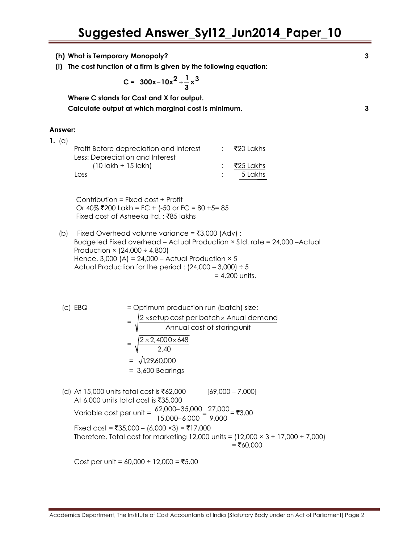- **(h) What is Temporary Monopoly? 3**
- **(i) The cost function of a firm is given by the following equation:**

$$
C = 300x-10x^2+\frac{1}{3}x^3
$$

**Where C stands for Cost and X for output.**

**Calculate output at which marginal cost is minimum. 3**

#### **Answer:**

| 1. $(a)$ |                                                                                                   |             |
|----------|---------------------------------------------------------------------------------------------------|-------------|
|          | Profit Before depreciation and Interest                                                           | ∶ ₹20 Lakhs |
|          | Less: Depreciation and Interest                                                                   |             |
|          | $(10 \, \text{l}\, \text{d}\, \text{k} \text{h} + 15 \, \text{l}\, \text{d}\, \text{k} \text{h})$ | ₹25 Lakhs   |
|          | LOSS                                                                                              | 5 Lakhs     |
|          |                                                                                                   |             |

 Contribution = Fixed cost + Profit Or 40% ₹200 Lakh = FC + (-50 or FC = 80 +5= 85 Fixed cost of Asheeka Itd. : ₹85 lakhs

- (b) Fixed Overhead volume variance =  $\bar{z}3,000$  (Adv) : Budgeted Fixed overhead – Actual Production × Std. rate = 24,000 –Actual Production  $\times$  (24,000  $\div$  4,800) Hence,  $3,000$  (A) = 24,000 – Actual Production  $\times$  5 Actual Production for the period :  $(24,000 - 3,000) \div 5$  $= 4,200$  units.
- $|c|$  EBQ  $=$  Optimum production run (batch) size: = Annual cost of storingunit 2 ×setup cost per batch × Anual demand  $=\sqrt{\frac{2 \times 2,4000 \times 648}{2}}$ 2.40  $\times$  2,4000 $\times$ 6  $=$   $= \sqrt{1.29,60,000}$  = 3,600 Bearings (d) At 15,000 units total cost is ₹62,000 [69,000 – 7,000] At 6,000 units total cost is  $\overline{535,000}$

Variable cost per unit =  $\frac{62,000-35,000}{15,000} = \frac{27,000}{0,000} = ₹3.00$ 9,000 15,000 6,000 Fixed cost = ₹35,000 – (6,000 ×3) = ₹17,000 Therefore, Total cost for marketing 12,000 units =  $(12,000 \times 3 + 17,000 + 7,000)$  $= ₹60,000$ 

 $Cost$  per unit =  $60,000 \div 12,000 = ₹5.00$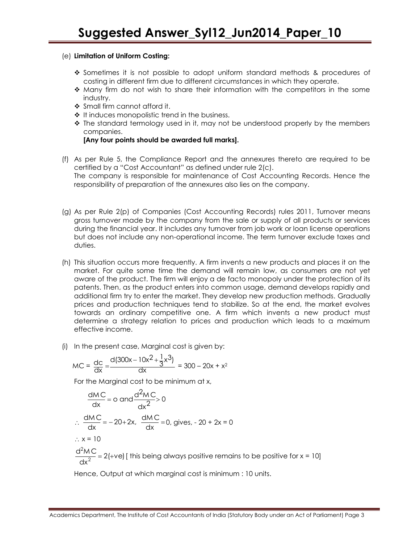### (e) **Limitation of Uniform Costing:**

- Sometimes it is not possible to adopt uniform standard methods & procedures of costing in different firm due to different circumstances in which they operate.
- $\clubsuit$  Many firm do not wish to share their information with the competitors in the some industry.
- Small firm cannot afford it.
- $\cdot$  It induces monopolistic trend in the business.
- $\cdot$  The standard termology used in it, may not be understood properly by the members companies.

### **[Any four points should be awarded full marks].**

- (f) As per Rule 5, the Compliance Report and the annexures thereto are required to be certified by a "Cost Accountant" as defined under rule 2(c). The company is responsible for maintenance of Cost Accounting Records. Hence the responsibility of preparation of the annexures also lies on the company.
- (g) As per Rule 2(p) of Companies (Cost Accounting Records) rules 2011, Turnover means gross turnover made by the company from the sale or supply of all products or services during the financial year. It includes any turnover from job work or loan license operations but does not include any non-operational income. The term turnover exclude taxes and duties.
- (h) This situation occurs more frequently. A firm invents a new products and places it on the market. For quite some time the demand will remain low, as consumers are not yet aware of the product. The firm will enjoy a de facto monopoly under the protection of its patents. Then, as the product enters into common usage, demand develops rapidly and additional firm try to enter the market. They develop new production methods. Gradually prices and production techniques tend to stabilize. So at the end, the market evolves towards an ordinary competitive one. A firm which invents a new product must determine a strategy relation to prices and production which leads to a maximum effective income.
- (i) In the present case, Marginal cost is given by:

$$
MC = \frac{dc}{dx} = \frac{d(300x - 10x^{2} + \frac{1}{3}x^{3})}{dx} = 300 - 20x + x^{2}
$$

For the Marginal cost to be minimum at x,

$$
\frac{dMC}{dx} = 0 \text{ and } \frac{d^2MC}{dx^2} > 0
$$
  
\n
$$
\therefore \frac{dMC}{dx} = -20 + 2x, \frac{dMC}{dx} = 0, \text{ gives, } -20 + 2x = 0
$$
  
\n
$$
\therefore x = 10
$$
  
\n
$$
\frac{d^2MC}{dx^2} = 2(+ve) \text{ [ this being always positive remains to be positive for } x = 10 \text{]}
$$

Hence, Output at which marginal cost is minimum : 10 units.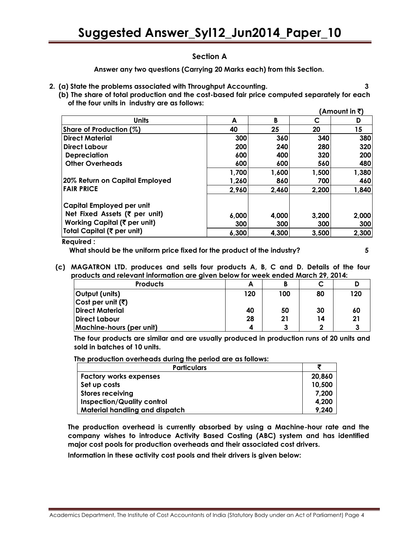### **Section A**

**Answer any two questions (Carrying 20 Marks each) from this Section.**

- **2. (a) State the problems associated with Throughput Accounting. 3**
	- **(b) The share of total production and the cost-based fair price computed separately for each of the four units in industry are as follows: (Amount in** `**)**

|                                |       |       |       | Amount in <b>3</b> ) |
|--------------------------------|-------|-------|-------|----------------------|
| <b>Units</b>                   | A     | B     | C     |                      |
| Share of Production (%)        | 40    | 25    | 20    | 15                   |
| <b>Direct Material</b>         | 300   | 360   | 340   | 380                  |
| Direct Labour                  | 200   | 240   | 280   | 320                  |
| <b>Depreciation</b>            | 600   | 400   | 320   | <b>200</b>           |
| <b>Other Overheads</b>         | 600   | 600   | 560   | 480                  |
|                                | 1,700 | 1,600 | 1,500 | 1,380                |
| 20% Return on Capital Employed | 1,260 | 860   | 700   | 460                  |
| <b>FAIR PRICE</b>              | 2,960 | 2,460 | 2,200 | 1,840                |
| Capital Employed per unit      |       |       |       |                      |
| Net Fixed Assets (₹ per unit)  | 6,000 | 4,000 | 3,200 | 2,000                |
| Working Capital (₹ per unit)   | 300   | 300   | 300   | 300                  |
| Total Capital (₹ per unit)     | 6,300 | 4,300 | 3,500 | 2,300                |

### **Required :**

 **What should be the uniform price fixed for the product of the industry? 5**

- 
- **(c) MAGATRON LTD. produces and sells four products A, B, C and D. Details of the four products and relevant information are given below for week ended March 29, 2014:**

| <b>Products</b>                   | А   |     |    |     |
|-----------------------------------|-----|-----|----|-----|
| Output (units)                    | 120 | 100 | 80 | 120 |
| Cost per unit $(\overline{\tau})$ |     |     |    |     |
| <b>Direct Material</b>            | 40  | 50  | 30 | 60  |
| Direct Labour                     | 28  | 21  | 14 |     |
| Machine-hours (per unit)          | 4   |     |    |     |

**The four products are similar and are usually produced in production runs of 20 units and sold in batches of 10 units.**

**The production overheads during the period are as follows:**

| <b>Particulars</b>                |        |
|-----------------------------------|--------|
| <b>Factory works expenses</b>     | 20,860 |
| Set up costs                      | 10,500 |
| <b>Stores receiving</b>           | 7,200  |
| <b>Inspection/Quality control</b> | 4,200  |
| Material handling and dispatch    | 9,240  |

**The production overhead is currently absorbed by using a Machine-hour rate and the company wishes to introduce Activity Based Costing (ABC) system and has identified major cost pools for production overheads and their associated cost drivers.**

**Information in these activity cost pools and their drivers is given below:**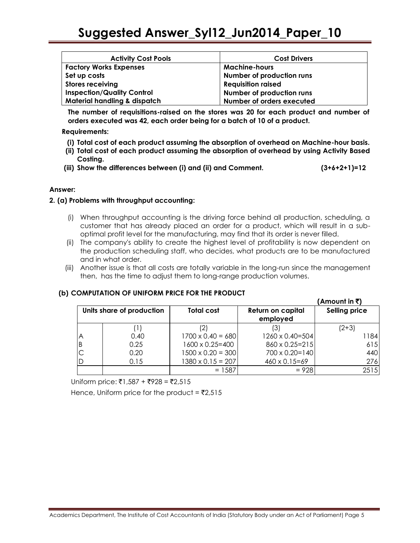| <b>Activity Cost Pools</b>              | <b>Cost Drivers</b>       |
|-----------------------------------------|---------------------------|
| <b>Factory Works Expenses</b>           | <b>Machine-hours</b>      |
| Set up costs                            | Number of production runs |
| <b>Stores receiving</b>                 | <b>Requisition raised</b> |
| <b>Inspection/Quality Control</b>       | Number of production runs |
| <b>Material handling &amp; dispatch</b> | Number of orders executed |

**The number of requisitions-raised on the stores was 20 for each product and number of orders executed was 42, each order being for a batch of 10 of a product.**

**Requirements:**

- **(i) Total cost of each product assuming the absorption of overhead on Machine-hour basis.**
- **(ii) Total cost of each product assuming the absorption of overhead by using Activity Based Costing.**
- **(iii) Show the differences between (i) and (ii) and Comment. (3+6+2+1)=12**

### **Answer:**

### **2. (a) Problems with throughput accounting:**

- (i) When throughput accounting is the driving force behind all production, scheduling, a customer that has already placed an order for a product, which will result in a suboptimal profit level for the manufacturing, may find that its order is never filled.
- (ii) The company's ability to create the highest level of profitability is now dependent on the production scheduling staff, who decides, what products are to be manufactured and in what order.
- (iii) Another issue is that all costs are totally variable in the long-run since the management then, has the time to adjust them to long-range production volumes.

### **(b) COMPUTATION OF UNIFORM PRICE FOR THE PRODUCT**

|   |                           |                          |                                      | (Amount in ₹)        |
|---|---------------------------|--------------------------|--------------------------------------|----------------------|
|   | Units share of production | <b>Total cost</b>        | <b>Return on capital</b><br>employed | <b>Selling price</b> |
|   |                           |                          |                                      | $(2+3)$              |
| Α | 0.40                      | $1700 \times 0.40 = 680$ | 1260 x 0.40=504                      | 1184                 |
| B | 0.25                      | 1600 x 0.25=400          | 860 x 0.25=215                       | 615                  |
|   | 0.20                      | $1500 \times 0.20 = 300$ | 700 x 0.20=140                       | 440                  |
|   | 0.15                      | $1380 \times 0.15 = 207$ | $460 \times 0.15 = 69$               | 276                  |
|   |                           | $= 1587$                 | $= 928$                              | 2515                 |

 $Uniform price: ₹1,587 + ₹928 = ₹2,515$ 

Hence, Uniform price for the product =  $\overline{5}2,515$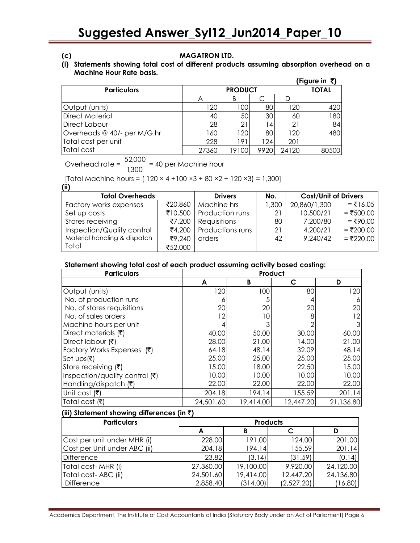### **(c) MAGATRON LTD.**

### **(i) Statements showing total cost of different products assuming absorption overhead on a Machine Hour Rate basis.**

|                             |       |                |                 |       | (Figure in ₹) |
|-----------------------------|-------|----------------|-----------------|-------|---------------|
| <b>Particulars</b>          |       | <b>PRODUCT</b> |                 |       |               |
|                             | Α     | B              | С               |       |               |
| Output (units)              | 120   | 100            | 80              | 120   | 420           |
| <b>Direct Material</b>      | 40    | 50             | 30 <sub>1</sub> | 60    | 180           |
| <b>Direct Labour</b>        | 28    | 21             | 14              | 21    | 84            |
| Overheads @ 40/- per M/G hr | 160   | 120            | 80              | 120   | 480           |
| Total cost per unit         | 228   | 191            | 124             | 201   |               |
| Total cost                  | 27360 | 19100          | 9920            | 24120 | 80500         |

Overhead rate =  $\frac{0.2,000}{1,300}$  $\frac{52,000}{1000}$  = 40 per Machine hour

[Total Machine hours =  $(120 \times 4 + 100 \times 3 + 80 \times 2 + 120 \times 3) = 1,300$ ] **(ii)**

| w.,                          |         |                  |       |                             |             |
|------------------------------|---------|------------------|-------|-----------------------------|-------------|
| <b>Total Overheads</b>       |         | <b>Drivers</b>   | No.   | <b>Cost/Unit of Drivers</b> |             |
| Factory works expenses       | ₹20,860 | Machine hrs      | 1,300 | 20,860/1,300                | $=$ ₹16.05  |
| Set up costs                 | ₹10,500 | Production runs  | 21    | 10,500/21                   | $= ₹500.00$ |
| Stores receiving             | ₹7,200  | Requisitions     | 80    | 7,200/80                    | $= ₹90.00$  |
| Inspection/Quality control   | ₹4.200  | Productions runs | 21    | 4,200/21                    | $= ₹200.00$ |
| Material handling & dispatch | ₹9,240  | orders           | 42    | 9,240/42                    | $= ₹220.00$ |
| Total                        | ₹52,000 |                  |       |                             |             |

### **Statement showing total cost of each product assuming activity based costing:**

| <b>Particulars</b>             | Product   |           |           |           |  |
|--------------------------------|-----------|-----------|-----------|-----------|--|
|                                | A         | B         | C         | D         |  |
| Output (units)                 | 120       | 100       | 80        | 120       |  |
| No. of production runs         | 6         | 5         | 4         |           |  |
| No. of stores requisitions     | 20        | 20        | 20        | 20        |  |
| No. of sales orders            | 12        | 10        | 8         | 12        |  |
| Machine hours per unit         |           |           | っ         |           |  |
| Direct materials (₹)           | 40.00     | 50.00     | 30.00     | 60.00     |  |
| Direct labour (₹)              | 28.00     | 21.00     | 14.00     | 21.00     |  |
| Factory Works Expenses (₹)     | 64.18     | 48.14     | 32.09     | 48.14     |  |
| $\mathsf{Set}$ ups(₹)          | 25.00     | 25.00     | 25.00     | 25.00     |  |
| Store receiving (₹)            | 15.00     | 18.00     | 22.50     | 15.00     |  |
| Inspection/quality control (₹) | 10.00     | 10.00     | 10.00     | 10.00     |  |
| Handling/dispatch (₹)          | 22.00     | 22.00     | 22.00     | 22.00     |  |
| Unit cost (₹)                  | 204.18    | 194.14    | 155.59    | 201.14    |  |
| Total cost (そ)                 | 24,501.60 | 19,414.00 | 12,447.20 | 21,136.80 |  |

### **(iii) Statement showing differences (in** `**)**

| <b>Particulars</b>           |           | <b>Products</b> |            |           |  |  |
|------------------------------|-----------|-----------------|------------|-----------|--|--|
|                              |           |                 |            |           |  |  |
| Cost per unit under MHR (i)  | 228.00    | 191.00          | 124.00     | 201.00    |  |  |
| Cost per Unit under ABC (ii) | 204.18    | 194.14          | 155.59     | 201.14    |  |  |
| Difference                   | 23.82     | (3.14)          | (31.59)    | (0.14)    |  |  |
| Total cost- MHR (i)          | 27,360.00 | 19,100.00       | 9,920.00   | 24,120.00 |  |  |
| Total cost-ABC (ii)          | 24,501.60 | 19,414.00       | 12,447.20  | 24,136.80 |  |  |
| Difference                   | 2,858.40  | (314.00)        | (2,527.20) | (16.80)   |  |  |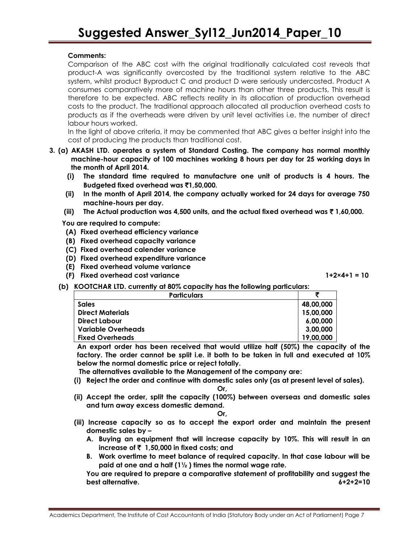### **Comments:**

Comparison of the ABC cost with the original traditionally calculated cost reveals that product-A was significantly overcosted by the traditional system relative to the ABC system, whilst product Byproduct C and product D were seriously undercosted. Product A consumes comparatively more of machine hours than other three products, This result is therefore to be expected. ABC reflects reality in its allocation of production overhead costs to the product. The traditional approach allocated all production overhead costs to products as if the overheads were driven by unit level activities i.e. the number of direct labour hours worked.

In the light of above criteria, it may be commented that ABC gives a better insight into the cost of producing the products than traditional cost.

- **3. (a) AKASH LTD. operates a system of Standard Costing. The company has normal monthly machine-hour capacity of 100 machines working 8 hours per day for 25 working days in the month of April 2014.**
	- **(i) The standard time required to manufacture one unit of products is 4 hours. The Budgeted fixed overhead was** `**1,50,000.**
	- **(ii) In the month of April 2014, the company actually worked for 24 days for average 750 machine-hours per day.**
	- **(iii) The Actual production was 4,500 units, and the actual fixed overhead was** ` **1,60,000.**

**You are required to compute:**

- **(A) Fixed overhead efficiency variance**
- **(B) Fixed overhead capacity variance**
- **(C) Fixed overhead calender variance**
- **(D) Fixed overhead expenditure variance**
- **(E) Fixed overhead volume variance**
- **(F) Fixed overhead cost variance 1+2×4+1 = 10**

**(b) KOOTCHAR LTD. currently at 80% capacity has the following particulars:**

| <b>Particulars</b>      |           |
|-------------------------|-----------|
| <b>Sales</b>            | 48,00,000 |
| <b>Direct Materials</b> | 15,00,000 |
| <b>Direct Labour</b>    | 6,00,000  |
| Variable Overheads      | 3,00,000  |
| <b>Fixed Overheads</b>  | 19,00,000 |

**An export order has been received that would utilize half (50%) the capacity of the factory. The order cannot be split i.e. it both to be taken in full and executed at 10% below the normal domestic price or reject totally.**

**The alternatives available to the Management of the company are:**

**(i) Reject the order and continue with domestic sales only (as at present level of sales).**

**Or,**

**(ii) Accept the order, split the capacity (100%) between overseas and domestic sales and turn away excess domestic demand.**

**Or,**

- **(iii) Increase capacity so as to accept the export order and maintain the present domestic sales by –**
	- **A. Buying an equipment that will increase capacity by 10%. This will result in an increase of** ` **1,50,000 in fixed costs; and**
	- **B. Work overtime to meet balance of required capacity. In that case labour will be paid at one and a half (1½ ) times the normal wage rate.**

**You are required to prepare a comparative statement of profitability and suggest the best alternative. 6+2+2=10**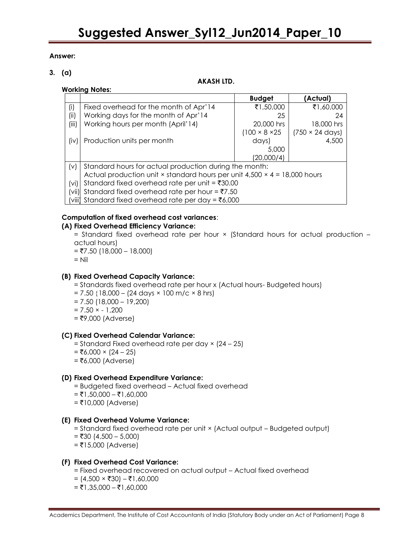### **Answer:**

### **3. (a)**

### **AKASH LTD.**

### **Working Notes:**

|        |                                                                                         | <b>Budget</b>              | (Actual)                       |  |  |
|--------|-----------------------------------------------------------------------------------------|----------------------------|--------------------------------|--|--|
| (i)    | Fixed overhead for the month of Apr'14                                                  | ₹1,50,000                  | ₹1,60,000                      |  |  |
| (ii)   | Working days for the month of Apr'14                                                    | 25                         | 24                             |  |  |
| (iii)  | Working hours per month (April'14)                                                      | 20,000 hrs                 | 18,000 hrs                     |  |  |
|        |                                                                                         | $(100 \times 8 \times 25)$ | $(750 \times 24 \text{ days})$ |  |  |
| (iv)   | Production units per month                                                              | days)                      | 4,500                          |  |  |
|        |                                                                                         | 5,000                      |                                |  |  |
|        |                                                                                         | (20,000/4)                 |                                |  |  |
| (v)    | Standard hours for actual production during the month:                                  |                            |                                |  |  |
|        | Actual production unit $\times$ standard hours per unit 4,500 $\times$ 4 = 18,000 hours |                            |                                |  |  |
| (vi)   | Standard fixed overhead rate per unit = $\text{\textsterling}30.00$                     |                            |                                |  |  |
| (vii)  | Standard fixed overhead rate per hour = $\overline{57.50}$                              |                            |                                |  |  |
| (viii) | Standard fixed overhead rate per day = $\overline{56,000}$                              |                            |                                |  |  |

### **Computation of fixed overhead cost variances**:

### **(A) Fixed Overhead Efficiency Variance:**

= Standard fixed overhead rate per hour × (Standard hours for actual production – actual hours)

- $=$  ₹7.50 (18,000 18,000)
- $=$  Nil

### **(B) Fixed Overhead Capacity Variance:**

- = Standards fixed overhead rate per hour x (Actual hours- Budgeted hours)
- $= 7.50$  {18,000 (24 days  $\times$  100 m/c  $\times$  8 hrs)
- $= 7.50$  (18,000  $19,200$ )
- $= 7.50 \times -1,200$
- $=$  ₹9,000 (Adverse)

### **(C) Fixed Overhead Calendar Variance:**

- = Standard Fixed overhead rate per day × (24 25)
- $=$  ₹6,000 × (24 25)
- $=$  ₹6,000 (Adverse)

### **(D) Fixed Overhead Expenditure Variance:**

- = Budgeted fixed overhead Actual fixed overhead
- $=$  ₹1,50,000 ₹1,60,000
- $=$  ₹10,000 (Adverse)

### **(E) Fixed Overhead Volume Variance:**

- = Standard fixed overhead rate per unit × (Actual output Budgeted output)
- $=$  ₹30 (4,500 5,000)
- $=$  ₹15,000 (Adverse)

### **(F) Fixed Overhead Cost Variance:**

- = Fixed overhead recovered on actual output Actual fixed overhead
- $= (4,500 \times \overline{530}) \overline{51},60,000$
- $=$  ₹1,35,000 ₹1,60,000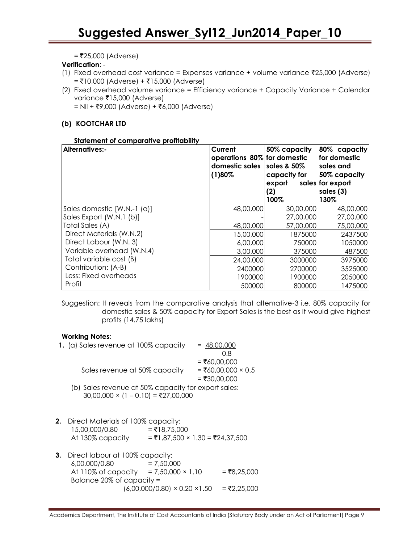$=$  ₹25,000 (Adverse)

### **Verification**: -

- (1) Fixed overhead cost variance = Expenses variance + volume variance  $\bar{z}$ 25,000 (Adverse)  $=$  ₹10,000 (Adverse) + ₹15,000 (Adverse)
- (2) Fixed overhead volume variance = Efficiency variance + Capacity Variance + Calendar variance ₹15,000 (Adverse)

 $=$  Nil + ₹9,000 (Adverse) + ₹6,000 (Adverse)

### **(b) KOOTCHAR LTD**

### **Statement of comparative profitability**

| <b>Alternatives:-</b>       | Current<br>operations 80% for domestic<br>domestic sales<br>(1)80% | 50% capacity<br>sales & 50%<br>capacity for<br>export<br>(2)<br>100% | 80% capacity<br>for domestic<br>sales and<br>50% capacity<br>sales for export<br>sales (3)<br>130% |
|-----------------------------|--------------------------------------------------------------------|----------------------------------------------------------------------|----------------------------------------------------------------------------------------------------|
| Sales domestic [W.N.-1 (a)] | 48,00,000                                                          | 30,00,000                                                            | 48,00,000                                                                                          |
| Sales Export (W.N.1 (b)]    |                                                                    | 27,00,000                                                            | 27,00,000                                                                                          |
| Total Sales (A)             | 48,00,000                                                          | 57,00,000                                                            | 75,00,000                                                                                          |
| Direct Materials (W.N.2)    | 15,00,000                                                          | 1875000                                                              | 2437500                                                                                            |
| Direct Labour (W.N. 3)      | 6,00,000                                                           | 750000                                                               | 1050000                                                                                            |
| Variable overhead (W.N.4)   | 3,00,000                                                           | 375000                                                               | 487500                                                                                             |
| Total variable cost (B)     | 24,00,000                                                          | 3000000                                                              | 3975000                                                                                            |
| Contribution: (A-B)         | 2400000                                                            | 2700000                                                              | 3525000                                                                                            |
| Less: Fixed overheads       | 1900000                                                            | 1900000                                                              | 2050000                                                                                            |
| Profit                      | 500000                                                             | 800000                                                               | 1475000                                                                                            |

Suggestion: It reveals from the comparative analysis that altemative-3 i.e. 80% capacity for domestic sales & 50% capacity for Export Sales is the best as it would give highest profits (14.75 lakhs)

### **Working Notes**:

| 1. (a) Sales revenue at 100% capacity                                                             | $= 48,00,000$      |
|---------------------------------------------------------------------------------------------------|--------------------|
|                                                                                                   | 0.8                |
|                                                                                                   | $= ₹60,00,000$     |
| Sales revenue at 50% capacity                                                                     | = ₹60,00,000 × 0.5 |
|                                                                                                   | $= ₹30,00,000$     |
| (b) Sales revenue at 50% capacity for export sales:<br>$30,00,000 \times (1 - 0.10) = ₹27,00,000$ |                    |
| <b>2.</b> Direct Materials of 100% capacity:<br><b>IIA TE AAA</b>                                 |                    |

- $15,00,000/0.80$  = ₹18,75,000 At 130% capacity =  $\overline{51,87,500} \times 1.30 = \overline{524,37,500}$
- **3.** Direct labour at 100% capacity:  $6,00,000/0.80$  = 7,50,000 At 110% of capacity = 7,50,000 × 1.10 = ₹8,25,000 Balance 20% of capacity =  $(6,00,000/0.80) \times 0.20 \times 1.50 = 72,25,000$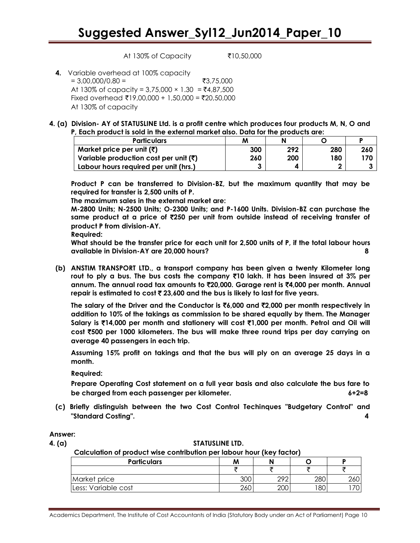At 130% of Capacity ₹10,50,000

- **4.** Variable overhead at 100% capacity  $= 3,00,000/0.80 =$  ₹3,75,000 At 130% of capacity =  $3,75,000 \times 1.30 = ₹4,87,500$ Fixed overhead ₹19,00,000 + 1,50,000 = ₹20,50,000 At 130% of capacity
- **4. (a) Division- AY of STATUSLINE Ltd. is a profit centre which produces four products M, N, O and P, Each product is sold in the external market also. Data for the products are:**

| <b>Particulars</b>                                | м   |     |     |     |
|---------------------------------------------------|-----|-----|-----|-----|
| Market price per unit $(\bar{\zeta})$             | 300 | 292 | 280 | 260 |
| Variable production cost per unit $(\bar{\zeta})$ | 260 | 200 | 180 | 170 |
| Labour hours required per unit (hrs.)             |     |     | ◠   |     |

**Product P can be transferred to Division-BZ, but the maximum quantity that may be required for transfer is 2,500 units of P.**

**The maximum sales in the external market are:**

**M-2800 Units; N-2500 Units; O-2300 Units; and P-1600 Units. Division-BZ can purchase the same product at a price of** `**250 per unit from outside instead of receiving transfer of product P from division-AY.**

**Required:**

**What should be the transfer price for each unit for 2,500 units of P, if the total labour hours available in Division-AY are 20,000 hours? 8** 

**(b) ANSTIM TRANSPORT LTD., a transport company has been given a twenty Kilometer long rout to ply a bus. The bus costs the company** `**10 lakh. It has been insured at 3% per annum. The annual road tax amounts to** `**20,000. Garage rent is** `**4,000 per month. Annual repair is estimated to cost** ` **23,600 and the bus is likely to last for five years.**

**The salary of the Driver and the Conductor is** `**6,000 and** `**2,000 per month respectively in addition to 10% of the takings as commission to be shared equally by them. The Manager Salary is** `**14,000 per month and stationery will cost** `**1,000 per month. Petrol and Oil will cost** `**500 per 1000 kilometers. The bus will make three round trips per day carrying on average 40 passengers in each trip.**

**Assuming 15% profit on takings and that the bus will ply on an average 25 days in a month.**

**Required:**

**Prepare Operating Cost statement on a full year basis and also calculate the bus fare to be charged from each passenger per kilometer. 6+2=8**

- **(c) Briefly distinguish between the two Cost Control Techinques "Budgetary Control" and "Standard Costing". 4**
- **Answer:**

#### **4. (a) STATUSLINE LTD.**

**Calculation of product wise contribution per labour hour (key factor)**

| <b>Particulars</b>  | M   |             |     |  |
|---------------------|-----|-------------|-----|--|
|                     |     |             |     |  |
| Market price        | ว∩เ | റാറ         | 28C |  |
| Less: Variable cost | 261 | $\cap \cap$ | 18C |  |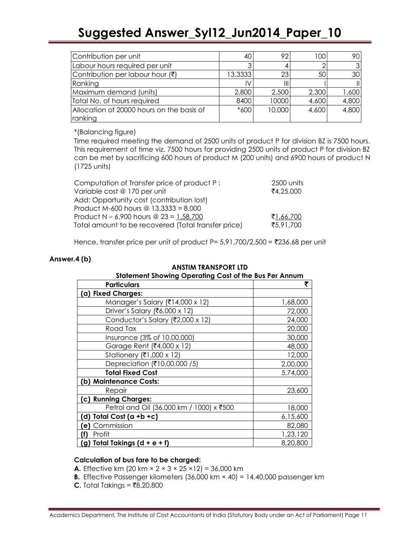| Contribution per unit                                | 40 I    | 92     | 100   | 90.   |
|------------------------------------------------------|---------|--------|-------|-------|
| Labour hours required per unit                       |         |        |       |       |
| Contribution per labour hour (₹)                     | 13.3333 | 23     | 50    | 30    |
| Ranking                                              |         |        |       |       |
| Maximum demand (units)                               | 2,800   | 2,500  | 2,300 | 1,600 |
| Total No. of hours required                          | 8400    | 10000  | 4,600 | 4,800 |
| Allocation of 20000 hours on the basis of<br>ranking | $*600$  | 10,000 | 4,600 | 4,800 |

\*(Balancing figure)

Time required meeting the demand of 2500 units of product P for division BZ is 7500 hours. This requirement of time viz. 7500 hours for providing 2500 units of product P for division BZ can be met by sacrificing 600 hours of product M (200 units) and 6900 hours of product N (1725 units)

| Computation of Transfer price of product P:         | 2500 units |
|-----------------------------------------------------|------------|
| Variable cost @ 170 per unit                        | ₹4,25,000  |
| Add: Opportunity cost (contribution lost)           |            |
| Product M-600 hours @ $13.3333 = 8,000$             |            |
| Product N – 6,900 hours @ 23 = 1,58,700             | ₹1,66,700  |
| Total amount to be recovered (Total transfer price) | ₹5.91.700  |
|                                                     |            |

Hence, transfer price per unit of product  $P = 5.91,700/2,500 = ₹236.68$  per unit

### **Answer.4 (b)**

| <b>Statement Showing Operating Cost of the Bus Per Annum</b> |          |  |
|--------------------------------------------------------------|----------|--|
| <b>Particulars</b>                                           | ₹        |  |
| (a) Fixed Charges:                                           |          |  |
| Manager's Salary (₹14,000 x 12)                              | 1,68,000 |  |
| Driver's Salary (₹6,000 x 12)                                | 72,000   |  |
| Conductor's Salary (₹2,000 x 12)                             | 24,000   |  |
| Road Tax                                                     | 20,000   |  |
| Insurance (3% of 10,00,000)                                  | 30,000   |  |
| Garage Rent (₹4,000 x 12)                                    | 48,000   |  |
| Stationery (₹1,000 x 12)                                     | 12,000   |  |
| Depreciation (₹10,00,000 /5)                                 | 2,00,000 |  |
| <b>Total Fixed Cost</b>                                      | 5,74,000 |  |
| (b) Maintenance Costs:                                       |          |  |
| Repair                                                       | 23,600   |  |
| (c) Running Charges:                                         |          |  |
| Petrol and Oil (36,000 km / 1000) x ₹500                     | 18,000   |  |
| Total Cost $(a + b + c)$<br>(d)                              | 6,15,600 |  |
| Commission<br>(e)                                            | 82,080   |  |
| Profit<br>(f)                                                | 1,23,120 |  |
| (g) Total Takings $(d + e + f)$                              | 8,20,800 |  |

### **ANSTIM TRANSPORT LTD**

### **Calculation of bus fare to be charged:**

- **A.** Effective km (20 km  $\times$  2  $\times$  3  $\times$  25  $\times$  12) = 36,000 km
- **B.** Effective Passenger kilometers (36,000 km × 40) = 14,40,000 passenger km
- **C.** Total Takings = ₹8,20,800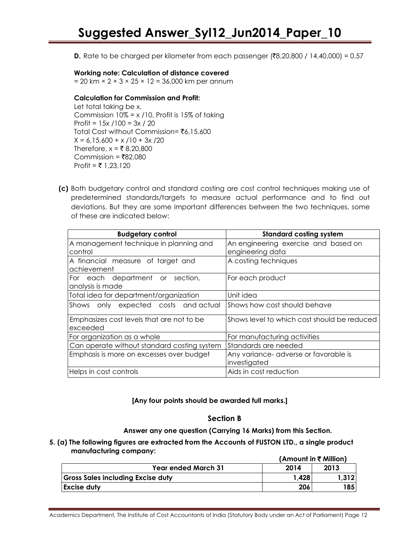**D.** Rate to be charged per kilometer from each passenger ( $\overline{(}8,20,800 / 14,40,000) = 0.57$ )

### **Working note: Calculation of distance covered**

 $= 20$  km  $\times$  2  $\times$  3  $\times$  25  $\times$  12 = 36,000 km per annum

### **Calculation for Commission and Profit:**

Let total taking be x. Commission  $10\% = x / 10$ , Profit is 15% of taking Profit = 15x /100 = 3x / 20 Total Cost without Commission= ₹6,15,600  $X = 6,15,600 + x / 10 + 3x / 20$ Therefore,  $x = ₹ 8,20,800$ Commission =  $\overline{8}82,080$  $Profit = ₹ 1,23,120$ 

**(c)** Both budgetary control and standard costing are cost control techniques making use of predetermined standards/targets to measure actual performance and to find out deviations. But they are some important differences between the two techniques, some of these are indicated below:

| <b>Budgetary control</b>                    | <b>Standard costing system</b>              |  |
|---------------------------------------------|---------------------------------------------|--|
| A management technique in planning and      | An engineering exercise and based on        |  |
| control                                     | engineering data                            |  |
| A financial measure of target and           | A costing techniques                        |  |
| achievement                                 |                                             |  |
| For each department or section,             | For each product                            |  |
| analysis is made                            |                                             |  |
| Total idea for department/organization      | Unit idea                                   |  |
| Shows only expected costs and actual        | Shows how cost should behave                |  |
| Emphasizes cost levels that are not to be   | Shows level to which cost should be reduced |  |
| exceeded                                    |                                             |  |
| For organization as a whole                 | For manufacturing activities                |  |
| Can operate without standard costing system | Standards are needed                        |  |
| Emphasis is more on excesses over budget    | Any variance- adverse or favorable is       |  |
|                                             | investigated                                |  |
| Helps in cost controls                      | Aids in cost reduction                      |  |

### **[Any four points should be awarded full marks.]**

### **Section B**

**Answer any one question (Carrying 16 Marks) from this Section.**

### **5. (a) The following figures are extracted from the Accounts of FUSTON LTD., a single product manufacturing company:**

|                                          | (Amount in ₹ Million) |       |  |
|------------------------------------------|-----------------------|-------|--|
| <b>Year ended March 31</b>               | 2014                  | 2013  |  |
| <b>Gross Sales including Excise duty</b> | 1.428                 |       |  |
| <b>Excise duty</b>                       | 206                   | !85 I |  |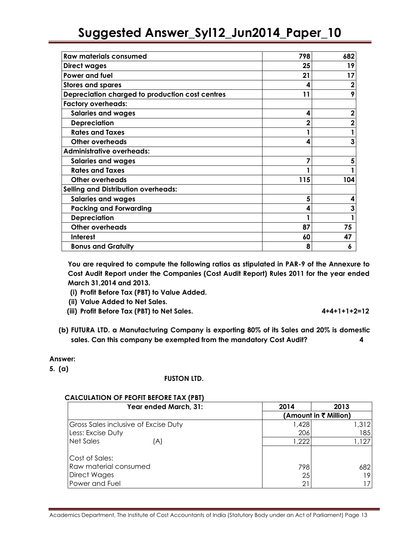| <b>Raw materials consumed</b>                   | 798          | 682 |
|-------------------------------------------------|--------------|-----|
| <b>Direct wages</b>                             | 25           | 19  |
| <b>Power and fuel</b>                           | 21           | 17  |
| <b>Stores and spares</b>                        | 4            |     |
| Depreciation charged to production cost centres | 11           |     |
| <b>Factory overheads:</b>                       |              |     |
| <b>Salaries and wages</b>                       | 4            |     |
| <b>Depreciation</b>                             | $\mathbf{2}$ |     |
| <b>Rates and Taxes</b>                          |              |     |
| <b>Other overheads</b>                          | 4            | 3   |
| <b>Administrative overheads:</b>                |              |     |
| <b>Salaries and wages</b>                       |              |     |
| <b>Rates and Taxes</b>                          |              |     |
| Other overheads                                 | 115          | 104 |
| <b>Selling and Distribution overheads:</b>      |              |     |
| <b>Salaries and wages</b>                       | 5            | 4   |
| <b>Packing and Forwarding</b>                   | 4            | 3   |
| <b>Depreciation</b>                             |              |     |
| <b>Other overheads</b>                          | 87           | 75  |
| <b>Interest</b>                                 | 60           | 47  |
| <b>Bonus and Gratuity</b>                       | 8            | 6   |

**You are required to compute the following ratios as stipulated in PAR-9 of the Annexure to Cost Audit Report under the Companies (Cost Audit Report) Rules 2011 for the year ended March 31,2014 and 2013.** 

- **(i) Profit Before Tax (PBT) to Value Added.**
- **(ii) Value Added to Net Sales.**
- **(iii) Profit Before Tax (PBT) to Net Sales. 4+4+1+1+2=12**

**(b) FUTURA LTD. a Manufacturing Company is exporting 80% of its Sales and 20% is domestic sales. Can this company be exempted from the mandatory Cost Audit? 4**

### **Answer:**

**5. (a)** 

### **FUSTON LTD.**

### **CALCULATION OF PEOFIT BEFORE TAX (PBT)**

| Year ended March, 31:                       | 2014                  | 2013  |
|---------------------------------------------|-----------------------|-------|
|                                             | (Amount in ₹ Million) |       |
| <b>Gross Sales inclusive of Excise Duty</b> | 1,428                 | 1,312 |
| Less: Excise Duty                           | 206                   | 185   |
| Net Sales<br>(A)                            | 1,222                 | 1,127 |
| Cost of Sales:                              |                       |       |
| Raw material consumed                       | 798                   | 682   |
| <b>Direct Wages</b>                         | 25                    | 19.   |
| Power and Fuel                              | 21                    |       |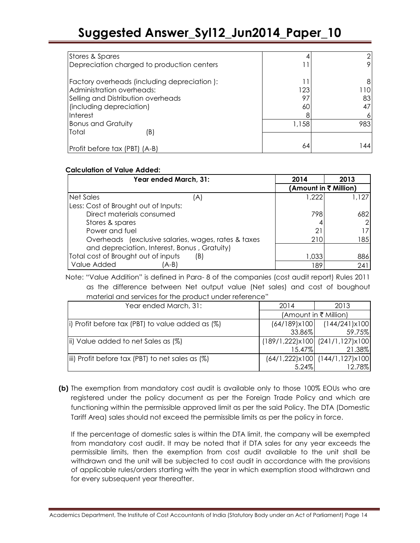| Stores & Spares                             |       |     |
|---------------------------------------------|-------|-----|
| Depreciation charged to production centers  |       |     |
| Factory overheads (including depreciation): |       | 8   |
| Administration overheads:                   | 123   | 110 |
| Selling and Distribution overheads          | 97    | 83  |
| (including depreciation)                    | 60    |     |
| Interest                                    |       |     |
| <b>Bonus and Gratuity</b>                   | 1,158 | 983 |
| Total<br>(B)                                |       |     |
| Profit before tax (PBT) (A-B)               | 64    | 44  |

### **Calculation of Value Added:**

| Year ended March, 31:                               |  | 2014                  | 2013       |
|-----------------------------------------------------|--|-----------------------|------------|
|                                                     |  | (Amount in ₹ Million) |            |
| Net Sales<br>A)                                     |  | 1.222                 | 1,127      |
| Less: Cost of Brought out of Inputs:                |  |                       |            |
| Direct materials consumed                           |  | 798                   | 682        |
| Stores & spares                                     |  |                       |            |
| Power and fuel                                      |  | 21                    |            |
| Overheads (exclusive salaries, wages, rates & taxes |  | 210                   | 185        |
| and depreciation, Interest, Bonus, Gratuity)        |  |                       |            |
| Total cost of Brought out of inputs<br>(B)          |  | 1,033                 | 886        |
| Value Added<br>A-B)                                 |  | 189                   | $24^\circ$ |

 Note: "Value Addition" is defined in Para- 8 of the companies (cost audit report) Rules 2011 as the difference between Net output value (Net sales) and cost of boughout material and services for the product under reference"

| Year ended March, 31:                                   | 2014                  | 2013                            |
|---------------------------------------------------------|-----------------------|---------------------------------|
|                                                         | (Amount in ₹ Million) |                                 |
| (i) Profit before tax (PBT) to value added as (%)       |                       | $(64/189)x100$ $(144/241)x100$  |
|                                                         | 33.86%                | 59.75%                          |
| (iii) Value added to net Sales as (%)                   |                       | (189/1,222)x100 (241/1,127)x100 |
|                                                         | $15.47\%$             | 21.38%                          |
| (%)    iii) Profit before tax (PBT) to net sales as (%) |                       | (64/1,222)x100 (144/1,127)x100  |
|                                                         | $5.24\%$              | 12.78%                          |

**(b)** The exemption from mandatory cost audit is available only to those 100% EOUs who are registered under the policy document as per the Foreign Trade Policy and which are functioning within the permissible approved limit as per the said Policy. The DTA (Domestic Tariff Area) sales should not exceed the permissible limits as per the policy in force.

If the percentage of domestic sales is within the DTA limit, the company will be exempted from mandatory cost audit. It may be noted that if DTA sales for any year exceeds the permissible limits, then the exemption from cost audit available to the unit shall be withdrawn and the unit will be subjected to cost audit in accordance with the provisions of applicable rules/orders starting with the year in which exemption stood withdrawn and for every subsequent year thereafter.

Academics Department, The Institute of Cost Accountants of India (Statutory Body under an Act of Parliament) Page 14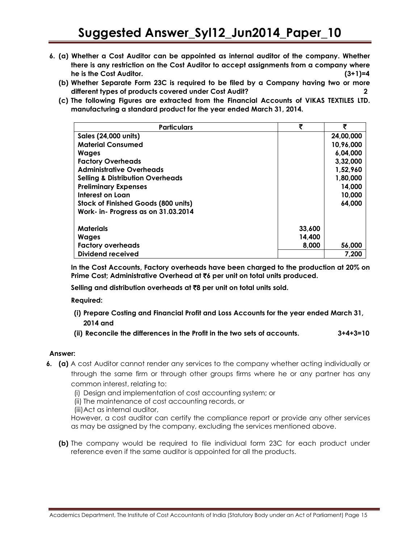- **6. (a) Whether a Cost Auditor can be appointed as internal auditor of the company. Whether there is any restriction on the Cost Auditor to accept assignments from a company where he is the Cost Auditor. (3+1)=4**
	- **(b) Whether Separate Form 23C is required to be filed by a Company having two or more different types of products covered under Cost Audit? 2**
	- **(c) The following Figures are extracted from the Financial Accounts of VIKAS TEXTILES LTD. manufacturing a standard product for the year ended March 31, 2014.**

| <b>Particulars</b>                          | ₹      | ₹         |
|---------------------------------------------|--------|-----------|
| <b>Sales (24,000 units)</b>                 |        | 24,00,000 |
| <b>Material Consumed</b>                    |        | 10,96,000 |
| <b>Wages</b>                                |        | 6,04,000  |
| <b>Factory Overheads</b>                    |        | 3,32,000  |
| <b>Administrative Overheads</b>             |        | 1,52,960  |
| <b>Selling &amp; Distribution Overheads</b> |        | 1,80,000  |
| <b>Preliminary Expenses</b>                 |        | 14,000    |
| Interest on Loan                            |        | 10,000    |
| Stock of Finished Goods (800 units)         |        | 64,000    |
| Work- in- Progress as on 31.03.2014         |        |           |
| <b>Materials</b>                            | 33,600 |           |
| <b>Wages</b>                                | 14,400 |           |
| <b>Factory overheads</b>                    | 8,000  | 56,000    |
| <b>Dividend received</b>                    |        | 7,200     |

**In the Cost Accounts, Factory overheads have been charged to the production at 20% on Prime Cost; Administrative Overhead at** `**6 per unit on total units produced.**

**Selling and distribution overheads at** `**8 per unit on total units sold.**

**Required:**

- **(i) Prepare Costing and Financial Profit and Loss Accounts for the year ended March 31, 2014 and**
- **(ii) Reconcile the differences in the Profit in the two sets of accounts. 3+4+3=10**

### **Answer:**

**6. (a)** A cost Auditor cannot render any services to the company whether acting individually or through the same firm or through other groups firms where he or any partner has any common interest, relating to:

(i) Design and implementation of cost accounting system; or

(ii) The maintenance of cost accounting records, or

(iii)Act as internal auditor,

However, a cost auditor can certify the compliance report or provide any other services as may be assigned by the company, excluding the services mentioned above.

**(b)** The company would be required to file individual form 23C for each product under reference even if the same auditor is appointed for all the products.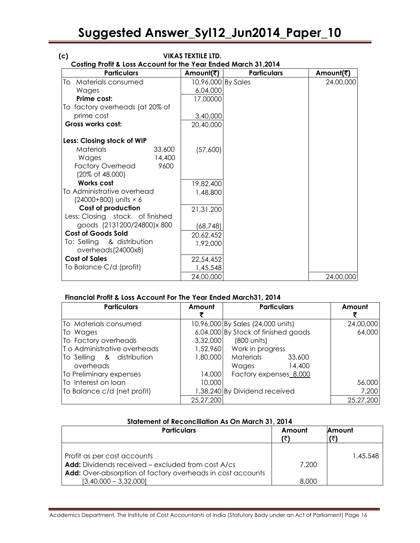| (c)                                                            |        | <b>VIKAS TEXTILE LTD.</b> |                    |           |
|----------------------------------------------------------------|--------|---------------------------|--------------------|-----------|
| Costing Profit & Loss Account for the Year Ended March 31,2014 |        |                           |                    |           |
| <b>Particulars</b>                                             |        | Amount(₹)                 | <b>Particulars</b> | Amount(₹) |
| Materials consumed<br>To                                       |        | 10,96,000 By Sales        |                    | 24,00,000 |
| Wages                                                          |        | 6,04,000                  |                    |           |
| Prime cost:                                                    |        | 17,00000                  |                    |           |
| To factory overheads (at 20% of                                |        |                           |                    |           |
| prime cost                                                     |        | 3,40,000                  |                    |           |
| Gross works cost:                                              |        | 20,40,000                 |                    |           |
| Less: Closing stock of WIP                                     |        |                           |                    |           |
| <b>Materials</b>                                               | 33,600 | (57,600)                  |                    |           |
| Wages                                                          | 14,400 |                           |                    |           |
| <b>Factory Overhead</b>                                        | 9600   |                           |                    |           |
| (20% of 48,000)                                                |        |                           |                    |           |
| <b>Works cost</b>                                              |        | 19,82,400                 |                    |           |
| To Administrative overhead                                     |        | 1,48,800                  |                    |           |
| (24000+800) units × 6                                          |        |                           |                    |           |
| <b>Cost of production</b>                                      |        | 21,31,200                 |                    |           |
| Less: Closing stock of finished                                |        |                           |                    |           |
| goods (2131200/24800)x 800                                     |        | (68, 748)                 |                    |           |
| <b>Cost of Goods Sold</b>                                      |        | 20,62,452                 |                    |           |
| To: Selling & distribution                                     |        | 1,92,000                  |                    |           |
| overheads(24000x8)                                             |        |                           |                    |           |
| <b>Cost of Sales</b>                                           |        | 22,54,452                 |                    |           |
| To Balance C/d (profit)                                        |        | 1,45,548                  |                    |           |
|                                                                |        | 24,00,000                 |                    | 24,00,000 |
|                                                                |        |                           |                    |           |

### **Financial Profit & Loss Account For The Year Ended March31, 2014**

 $[3,40,000 - 3,32,000]$ 

| <b>Particulars</b>          | Amount    | <b>Particulars</b>                  | Amount    |
|-----------------------------|-----------|-------------------------------------|-----------|
| To Materials consumed       |           | 10,96,000 By Sales (24,000 units)   | 24,00,000 |
| To Wages                    |           | 6,04,000 By Stock of finished goods | 64,000    |
| To Factory overheads        | 3,32,000  | (800 units)                         |           |
| To Administrative overheads | 1,52,960  | Work in progress                    |           |
| To Selling & distribution   | 1,80,000  | Materials<br>33,600                 |           |
| overheads                   |           | Wages<br>14,400                     |           |
| To Preliminary expenses     | 14,000    | Factory expenses 8,000              |           |
| To Interest on loan         | 10,000    |                                     | 56,000    |
| To Balance c/d (net profit) |           | 1,38,240 By Dividend received       | 7,200     |
|                             | 25,27,200 |                                     | 25,27,200 |

| Statement of Reconciliation As On March 31, 2014                                                                                               |        |               |
|------------------------------------------------------------------------------------------------------------------------------------------------|--------|---------------|
| <b>Particulars</b>                                                                                                                             | Amount | <b>Amount</b> |
| Profit as per cost accounts<br>Add: Dividends received - excluded from cost A/cs<br>Add: Over-absorption of factory overheads in cost accounts | 7.200  | 1,45,548      |

8,000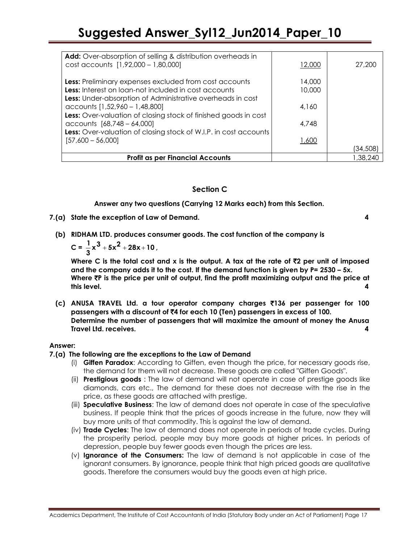| Add: Over-absorption of selling & distribution overheads in<br>cost accounts [1,92,000 - 1,80,000]                                                                                  | 12,000           | 27,200   |
|-------------------------------------------------------------------------------------------------------------------------------------------------------------------------------------|------------------|----------|
| Less: Preliminary expenses excluded from cost accounts<br>Less: Interest on loan-not included in cost accounts<br><b>Less:</b> Under-absorption of Administrative overheads in cost | 14,000<br>10,000 |          |
| accounts [1,52,960 - 1,48,800]                                                                                                                                                      | 4,160            |          |
| Less: Over-valuation of closing stock of finished goods in cost<br>accounts [68,748 - 64,000]<br>Less: Over-valuation of closing stock of W.I.P. in cost accounts                   | 4,748            |          |
| $[57,600 - 56,000]$                                                                                                                                                                 | 1,600            |          |
|                                                                                                                                                                                     |                  | (34,508) |
| <b>Profit as per Financial Accounts</b>                                                                                                                                             |                  | 1.38.240 |

### **Section C**

**Answer any two questions (Carrying 12 Marks each) from this Section.**

**7.(a) State the exception of Law of Demand. 4**

**(b) RIDHAM LTD. produces consumer goods. The cost function of the company is** 

 $C = \frac{1}{3}x^3 + 5x^2 + 28x + 10$  $\frac{1}{2}x^3 + 5x^2 + 28x + 10$ ,

**Where C is the total cost and x is the output. A tax at the rate of** `**2 per unit of imposed and the company adds it to the cost. If the demand function is given by P= 2530 – 5x. Where** `**P is the price per unit of output, find the profit maximizing output and the price at this level. 4**

**(c) ANUSA TRAVEL Ltd. a tour operator company charges** `**136 per passenger for 100 passengers with a discount of** `**4 for each 10 (Ten) passengers in excess of 100. Determine the number of passengers that will maximize the amount of money the Anusa Travel Ltd. receives. 4**

### **Answer:**

### **7.(a) The following are the exceptions to the Law of Demand**

- (i) **Giffen Paradox**: According to Giffen, even though the price, for necessary goods rise, the demand for them will not decrease. These goods are called "Giffen Goods".
- (ii) **Prestigious goods** : The law of demand will not operate in case of prestige goods like diamonds, cars etc., The demand for these does not decrease with the rise in the price, as these goods are attached with prestige.
- (iii) **Speculative Business**: The law of demand does not operate in case of the speculative business. If people think that the prices of goods increase in the future, now they will buy more units of that commodity. This is against the law of demand.
- (iv) **Trade Cycles**: The law of demand does not operate in periods of trade cycles. During the prosperity period, people may buy more goods at higher prices. In periods of depression, people buy fewer goods even though the prices are less.
- (v) **Ignorance of the Consumers:** The law of demand is not applicable in case of the ignorant consumers. By ignorance, people think that high priced goods are qualitative goods. Therefore the consumers would buy the goods even at high price.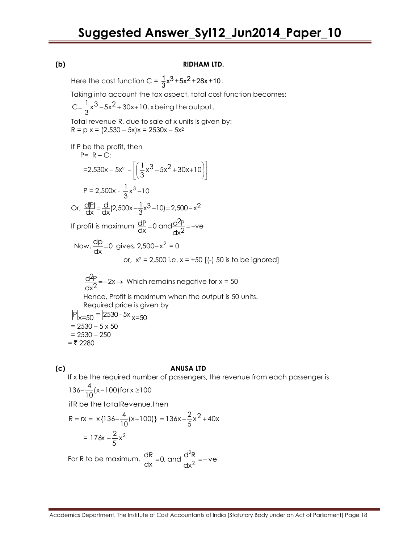### **(b) RIDHAM LTD.**

Here the cost function C =  $\frac{1}{3}x^3 + 5x^2 + 28x + 10$ .

Taking into account the tax aspect, total cost function becomes:

 $\frac{1}{3}$ x<sup>3</sup> – 5x<sup>2</sup> + 30x+10, xbeing the output  $C = \frac{1}{2}x^{3} - 5x^{2} + 30x + 10$ , x being the output.

Total revenue R, due to sale of x units is given by:  $R = p x = (2,530 - 5x)x = 2530x - 5x^2$ 

If P be the profit, then P= R – C:

$$
=2,530x - 5x^{2} - \left[\left(\frac{1}{3}x^{3} - 5x^{2} + 30x + 10\right)\right]
$$
  
P = 2,500x -  $\frac{1}{3}x^{3} - 10$   
Or,  $\frac{dP}{dx} = \frac{d}{dx}(2,500x - \frac{1}{3}x^{3} - 10) = 2,500 - x^{2}$   
If profit is maximum  $\frac{dP}{dx} = 0$  and  $\frac{d^{2}P}{dx^{2}} = -ve$ 

Now, 
$$
\frac{dp}{dx} = 0
$$
 gives, 2,500-x<sup>2</sup> = 0  
or, x<sup>2</sup> = 2,500 i.e. x = ±50 [(-) 50 is to be ignored]

$$
\frac{d^2P}{dx^2} = -2x \rightarrow \text{ Which remains negative for } x = 50
$$
  
Hence, Profit is maximum when the output is 50 units.  
Required price is given by  

$$
P|_{x=50} = |2530 - 5x|_{x=50}
$$

$$
= 2530 - 5 \times 50
$$

$$
= 2530 - 250
$$

$$
= ₹2280
$$

### **(c) ANUSA LTD**

If x be the required number of passengers, the revenue from each passenger is

$$
136 - \frac{4}{10}(x - 100)
$$
 for x \ge 100

ifR be the totalRevenue,then

$$
R = rx = x{136 - \frac{4}{10}(x - 100)} = 136x - \frac{2}{5}x^{2} + 40x
$$

$$
= 176x - \frac{2}{5}x^{2}
$$

For R to be maximum,  $\frac{u}{v}$  =0, and  $\frac{u}{v}$  =-ve dx  $\frac{dR}{dx}$  =0, and  $\frac{d^2R}{dx^2}$ dR 2 2 =0, and  $\frac{u}{2}$  =-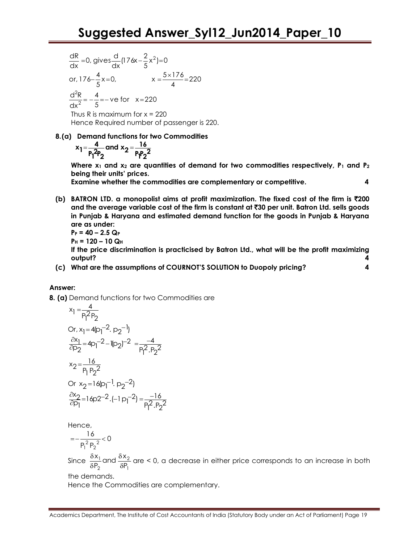$$
\frac{dR}{dx} = 0, \text{ gives } \frac{d}{dx} (176x - \frac{2}{5}x^2) = 0
$$
  
or,  $176 - \frac{4}{5}x = 0$ ,  $x = \frac{5 \times 176}{4} = 220$   

$$
\frac{d^2R}{dx^2} = -\frac{4}{5} = -ve \text{ for } x = 220
$$

Thus R is maximum for  $x = 220$ Hence Required number of passenger is 220.

**8.(a) Demand functions for two Commodities**

$$
x_1 = \frac{4}{P_1^2 P_2}
$$
 and  $x_2 = \frac{16}{P_1 P_2^2}$ 

**Where x<sup>1</sup> and x<sup>2</sup> are quantities of demand for two commodities respectively, P<sup>1</sup> and P<sup>2</sup> being their units' prices.**

**Examine whether the commodities are complementary or competitive. 4**

**(b) BATRON LTD. a monopolist aims at profit maximization. The fixed cost of the firm is** `**200 and the average variable cost of the firm is constant at** `**30 per unit. Batron Ltd. sells goods in Punjab & Haryana and estimated demand function for the goods in Punjab & Haryana are as under:**

$$
P_P = 40 - 2.5 Q_P
$$
  
\n $P_H = 120 - 10 Q_H$   
\nIf the price discrimination is practicised by Batron Ltd., what v

**If is discriminal is profit maximizing output? 4**

**(c) What are the assumptions of COURNOT'S SOLUTION to Duopoly pricing? 4**

### **Answer:**

**8. (a)** Demand functions for two Commodities are

$$
x_1 = \frac{4}{P_1^2 P_2}
$$
  
\nOr,  $x_1 = 4|p_1^{-2} \cdot p_2^{-1}$   
\n
$$
\frac{\partial x_1}{\partial p_2} = 4p_1^{-2} - 1(p_2)^{-2} = \frac{-4}{P_1^2 \cdot P_2^2}
$$
  
\n
$$
x_2 = \frac{16}{P_1 P_2^2}
$$
  
\nOr  $x_2 = 16|p_1^{-1} \cdot p_2^{-2}$   
\n
$$
\frac{\partial x_2}{\partial p_1} = 16p2^{-2} \cdot (-1p_1^{-2}) = \frac{-16}{P_1^2 \cdot P_2^2}
$$

Hence,

$$
=-\frac{16}{P_1^2 P_2^2}<0
$$

Since 1 2 2 1 P  $\frac{x_1}{P_2}$  and  $\frac{\delta x}{\delta P}$ x δ  $\delta$  $\delta$  $\frac{\delta x_1}{\delta x_2}$  are < 0, a decrease in either price corresponds to an increase in both

the demands. Hence the Commodities are complementary.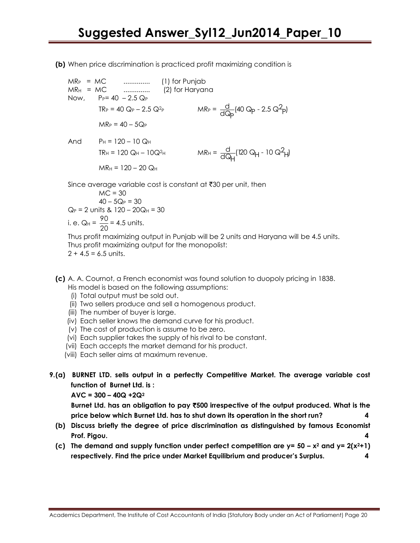**(b)** When price discrimination is practiced profit maximizing condition is

$$
MR_P = MC
$$
 (1) for Punjab  
\n $MR_H = MC$  (2) for Haryana  
\nNow,  $P_P = 40 - 2.5 Q_P$   
\n $TR_P = 40 Q_P - 2.5 Q^2_P$   $MR_P = \frac{d}{dQ_P}(40 Q_P - 2.5 Q^2_P)$   
\n $MR_P = 40 - 5Q_P$   
\nAnd  $P_H = 120 - 10 Q_H$   
\n $TR_H = 120 Q_H - 10Q^2_H$   $MR_H = \frac{d}{dQ_H}(120 Q_H - 10 Q^2_H)$   
\n $MR_H = 120 - 20 Q_H$ 

Since average variable cost is constant at  $\bar{c}30$  per unit, then

 $MC = 30$  $40 - 5Q_P = 30$  $Q_P = 2$  units &  $120 - 20Q_H = 30$ i. e. Q $_{\rm H}$  =  $\frac{78}{20}$  $\frac{90}{20}$  = 4.5 units.

Thus profit maximizing output in Punjab will be 2 units and Haryana will be 4.5 units. Thus profit maximizing output for the monopolist:  $2 + 4.5 = 6.5$  units.

- **(c)** A. A. Cournot, a French economist was found solution to duopoly pricing in 1838. His model is based on the following assumptions:
	- (i) Total output must be sold out.
	- (ii) Two sellers produce and sell a homogenous product.
	- (iii) The number of buyer is large.
	- (iv) Each seller knows the demand curve for his product.
	- (v) The cost of production is assume to be zero.
	- (vi) Each supplier takes the supply of his rival to be constant.
	- (vii) Each accepts the market demand for his product.
	- (viii) Each seller aims at maximum revenue.
- **9.(a) BURNET LTD. sells output in a perfectly Competitive Market. The average variable cost function of Burnet Ltd. is :**

 $AVC = 300 - 40Q + 2Q^2$ 

**Burnet Ltd. has an obligation to pay** `**500 irrespective of the output produced. What is the price below which Burnet Ltd. has to shut down its operation in the short run? 4**

- **(b) Discuss briefly the degree of price discrimination as distinguished by famous Economist Prof. Pigou. 4**
- **(c)** The demand and supply function under perfect competition are  $y = 50 x^2$  and  $y = 2(x^2+1)$ **respectively. Find the price under Market Equilibrium and producer's Surplus. 4**